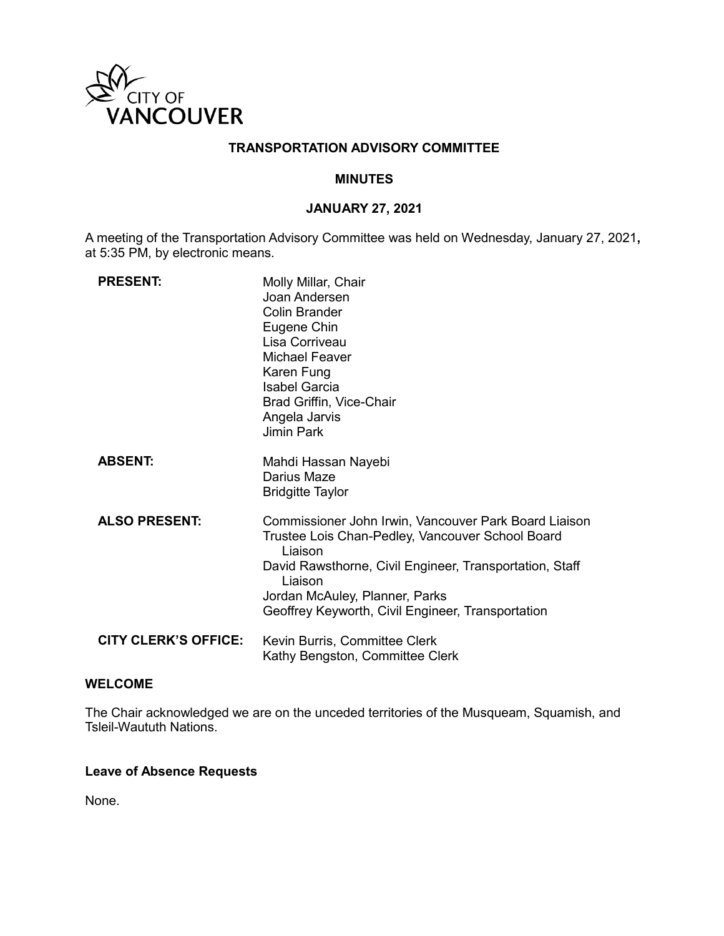

# **TRANSPORTATION ADVISORY COMMITTEE**

### **MINUTES**

## **JANUARY 27, 2021**

A meeting of the Transportation Advisory Committee was held on Wednesday, January 27, 2021**,**  at 5:35 PM, by electronic means.

| <b>PRESENT:</b>             | Molly Millar, Chair<br>Joan Andersen<br><b>Colin Brander</b><br>Eugene Chin<br>Lisa Corriveau<br><b>Michael Feaver</b><br>Karen Fung<br><b>Isabel Garcia</b><br>Brad Griffin, Vice-Chair<br>Angela Jarvis<br><b>Jimin Park</b>                                                    |
|-----------------------------|-----------------------------------------------------------------------------------------------------------------------------------------------------------------------------------------------------------------------------------------------------------------------------------|
| <b>ABSENT:</b>              | Mahdi Hassan Nayebi<br>Darius Maze<br><b>Bridgitte Taylor</b>                                                                                                                                                                                                                     |
| <b>ALSO PRESENT:</b>        | Commissioner John Irwin, Vancouver Park Board Liaison<br>Trustee Lois Chan-Pedley, Vancouver School Board<br>Liaison<br>David Rawsthorne, Civil Engineer, Transportation, Staff<br>Liaison<br>Jordan McAuley, Planner, Parks<br>Geoffrey Keyworth, Civil Engineer, Transportation |
| <b>CITY CLERK'S OFFICE:</b> | Kevin Burris, Committee Clerk<br>Kathy Bengston, Committee Clerk                                                                                                                                                                                                                  |

### **WELCOME**

The Chair acknowledged we are on the unceded territories of the Musqueam, Squamish, and Tsleil-Waututh Nations.

#### **Leave of Absence Requests**

None.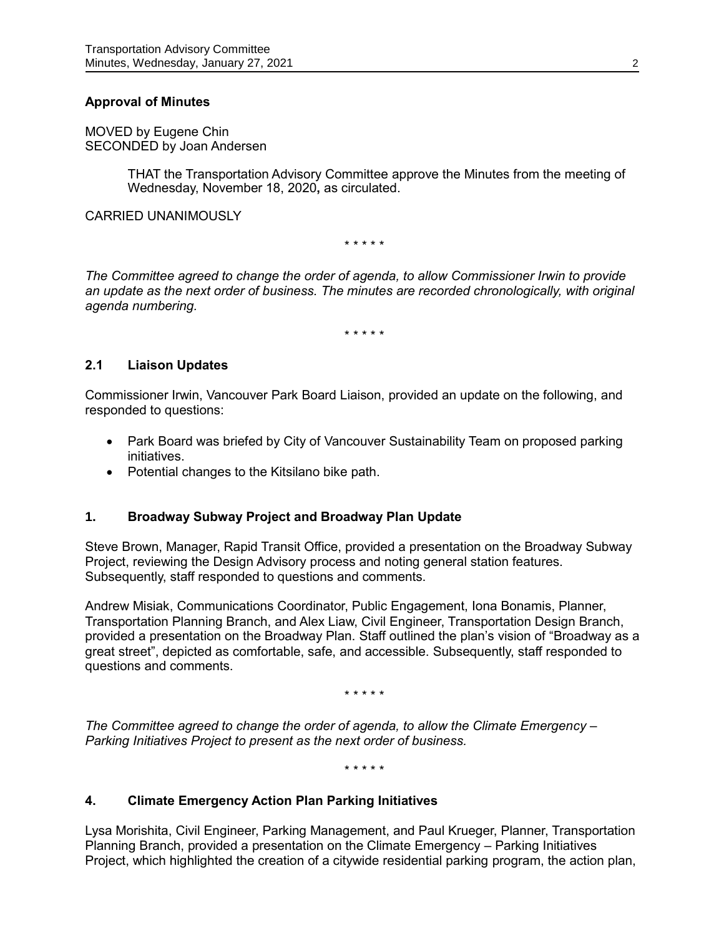## **Approval of Minutes**

MOVED by Eugene Chin SECONDED by Joan Andersen

> THAT the Transportation Advisory Committee approve the Minutes from the meeting of Wednesday, November 18, 2020**,** as circulated.

CARRIED UNANIMOUSLY

\* \* \* \* \*

*The Committee agreed to change the order of agenda, to allow Commissioner Irwin to provide an update as the next order of business. The minutes are recorded chronologically, with original agenda numbering.*

\* \* \* \* \*

### **2.1 Liaison Updates**

Commissioner Irwin, Vancouver Park Board Liaison, provided an update on the following, and responded to questions:

- Park Board was briefed by City of Vancouver Sustainability Team on proposed parking initiatives.
- Potential changes to the Kitsilano bike path.

### **1. Broadway Subway Project and Broadway Plan Update**

Steve Brown, Manager, Rapid Transit Office, provided a presentation on the Broadway Subway Project, reviewing the Design Advisory process and noting general station features. Subsequently, staff responded to questions and comments.

Andrew Misiak, Communications Coordinator, Public Engagement, Iona Bonamis, Planner, Transportation Planning Branch, and Alex Liaw, Civil Engineer, Transportation Design Branch, provided a presentation on the Broadway Plan. Staff outlined the plan's vision of "Broadway as a great street", depicted as comfortable, safe, and accessible. Subsequently, staff responded to questions and comments.

\* \* \* \* \*

*The Committee agreed to change the order of agenda, to allow the Climate Emergency – Parking Initiatives Project to present as the next order of business.*

\* \* \* \* \*

### **4. Climate Emergency Action Plan Parking Initiatives**

Lysa Morishita, Civil Engineer, Parking Management, and Paul Krueger, Planner, Transportation Planning Branch, provided a presentation on the Climate Emergency – Parking Initiatives Project, which highlighted the creation of a citywide residential parking program, the action plan,